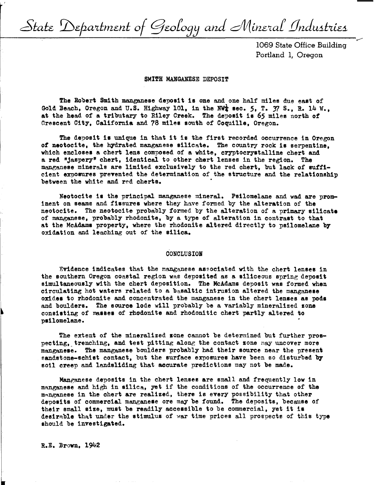State Department of Geology and Mineral Industries

1069 State Office Building Portland 1, Oregon

#### SMITH MANGANESE DEPOSIT

The Robert Smith manganese deposit 1a one and one half miles due east of Gold Beach, Oregon and U.S. Highway 101, in the NW $_4$  sec. 5, T. 37 S., R. 14 W., at the head of a tributary to Riley Creek. The deposit is 65 miles north of Crescent City, California and 78 miles south *of* Coquille, Oregon.

The deposit is unique in that it is the first recorded occurrence in Oregon of neotocite, the hydrated manganese silicate. The country rock is serpentine. which **encloses** a chert lens composed of a white, cryptocryatalline chert and a red "jaspeey" chert, identical to other chert lenses in the region. The manganese minerals are limited exclusively to the red chert, but lack of sufficient exposures prevented the determination of the structure and the relationship between the white and red cherts.

Neotocite is the principal manganese mineral. Psilomelane and wad are prominent on seams and fissures where they have formed by the alteration of the neotocite. The neotocite probably formed by the alteration of a primary **silicate**  of manganese, probably rhodonite, by a type of alteration in contrast to that at the McAdams property, where the rhodonite altered directly to psilomelane by oxidation and leaching out of the silica.

#### CONCLUSION

Evidence indicates that the manganese associated with the chert lenses in the southern Oregon coastal region was deposited as a siliceous spring deposit simultaneously with the chert deposition. The McAdams deposit was formed **when**  circulating hot waters related to a b<sub>2</sub>saltic intrusion altered the manganese oxidea to rhodonite and concentrated the manganese in the chert lenses as pods and boulders. The source lode will probably be a variably mineralized zone consisting of masses of rhodonite and rhodonitic chert partly altered to psilomelane.

The extent of the mineralized zone cannot be determined but further prospecting, trenching, and test pitting along the contact zone may uncover more manganese. The manganese boulders probably had their source near the present sandstone-schist contact, but the surface exposures have been so disturbed by soil creep and landsliding that accurate predictions may not be made.

Manganese deposits in the chert lenses are small and frequently low in manganese and high in silica, yet if the conditions of the occurrence of **the**  manganese in the chert are realized, there is every possibility that other deposits of commercial manganese ore may be found. The deposits, because of their small **size,** must be readily accessible to be commercial, yet it is desirable that under the stimulus of war time prices all prospects of this type should be investigated.

R.E. **Brown,** 1942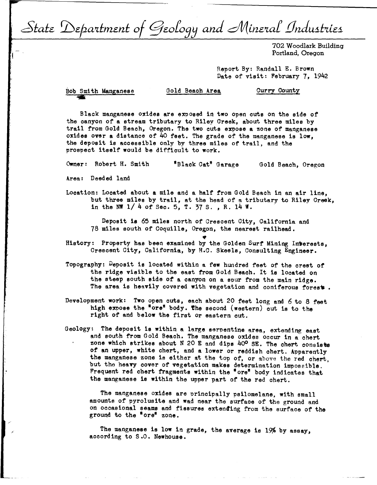State Department of Geology and Mineral Industries

702 Woodlark Building Portland, Oregon

Report By: Randall E. Brown Date of visit: February 7, 1942

Bob Smith Manganese ..

Gold Beach Area Curry County

Black manganese oxides are exposed in two open cuts on the side of the canyon of a stream tributary to Riley Creek, about three miles by trail from Gold Beach, Oregon. The two cute expose a zone of manganese oxides over a distance of 40 feet. The grade of the manganese **is low,**  the deposit is accessible only by three miles of trail, and the prospect **itself would be** difficult to **work.** 

**Owner:** Robert H. Smith <sup>11</sup> Black Oat" Garage Gold Beach, Oregon

**Area:** Deeded land

Location: Located about a mile and a half from Gold Beach in an air line, but three **miles** by trail, at the head of a tributary to Riley Creek, in the NW  $1/4$  of Sec. 5, T. 37 S., R. 14 W.

Deposit **is** 65 miles north of Crescent City, California and 78 miles south of Coquille, Oregon, the nearest railhead.

- History: Property has been examined by the Golden Surf Mining Interests, Crescent City, California, by H.c. Skeels, Consulting Engineer.
- Topography: Deposit is located within a few hundred feet of the crest of the ridge visible to the east from Gold Beach. It is located on the steep south side of a canyon on a spur from the main ridge. The area is heavily covered with vegetation and coniferous forest.
- Development work: Two open cuts, each about 20 feet long and 6 to 8 feet high expose the "ore" body. The second (western) cut is to the right of and below the first or eastern cut.
- Geology: The deposit is within a large serpentine area, extending east and south from Gold Beach. The manganese oxides occur in a chert zone which strikes about N 20 E and dips  $40^{\circ}$  SE. The chert consists of an upper, white chert, and a lower or reddish chert. Apparently the manganese zone ie either at the top of, or above the red chert, but the heavy cover of vegetation makes determination impoeeible. Frequent red chert fragments within the "ore" body indicates that the manganese is within the upper part of the red chert.

The manganese oxides are principally psilomelane, with small amounte of pyrolusite and wad near the surface of the ground and on occasional seams and fissures extending from the surface of the ground to the "ore" zone.

The manganese **is low** in grade, the average is 19% by assay, according to S.O. Newhouse.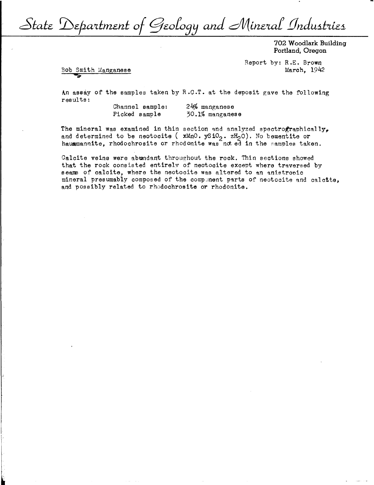State Department of Geology and Mineral Industries

702 Woodlark Building Portland, Oregon

Report by: R.E. Brown March, 1942

Bob Smith Manganese

An assay of the samples taken by R.c.T. at the deposit gave the following results:

> Channel sample: Picked sample 24% manganese 30.1% manganese

The mineral was examined in thin section and analyzed spectrographically, and determined to be neotocite ( $xMn0. ySiO_2. zH_2O$ ). No bementite or haummannite, rhodochrosite or rhodonite was not ed in the samples taken.

Calcite veins were abundant throughout the rock. Thin sections showed that the rock consisted entirelv of neotocite except where traversed by seams of calcite, where the neotocite was altered to an anistronic mineral presumably composed of the component parts of neotocite and calctte, and possibly related to rhodochrosite or rhodonite.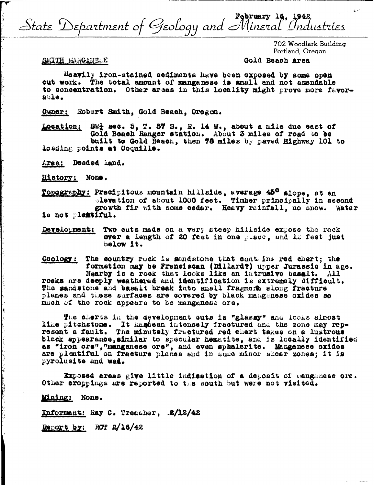State Department of Geology and Mineral Industries

702 Woodlark Building Portland, Oregon

## SMITH MANGANELE

## Gold Beach Area

Heavily iron-stained sediments have been exposed by some open cut work. The total amount of manganese is small and not amendable to concentration. Other areas in this locality might prove more favorable.

Owner: Robert Smith, Gold Beach, Oregon.

Location:  $8W_2^2$  sec. 5, T. 37 S., R. 14 W., about a mile due east of Gold Beach Ranger station. About 3 miles of road to be built to Gold Beach, then 78 miles by paved Highway 101 to loading points at Coquille.

Area: Deaded land.

History; None.

Topography: Precipitous mountain hillside, average 45° slope, at an elevation of about 1000 feet. Timber principally in second growth fir with some cedar. Heavy rainfall, no snow. Water is not plestiful.

Development: Two cuts made on a very steep hillside expose the rock over a length of 20 feet in one place, and 12 feet just below it.

Goology: The country rock is sandstone that contains red chert; the formation may be Franciscan (Dillard?) upper Jurassic in age. Nearby is a rock that looks like an intrusive basalt. All rocks are deeply weathered and identification is extremely difficult. The sandstone and basalt break into small fragmers along fracture planes and these surfaces are covered by black mangenese oxides so much of the rock appears to be manganese ore.

The cherts in the development cuts is "glassy" and looks almost like pitchstone. It has been intensely fractured and the zone may represent a fault. The minutely fractured red chert takes on a lustrous black appearance, similar to specular hematite, and is locally identified as "iron ore", "manganese ore", and even sphalerite. Manganese oxides are plentiful on fracture planes and in some minor shear zones; it is pyrolusite and wad.

Exposed areas give little indication of a deposit of manganese ore. Other eroppings are reported to the south but were not visited.

Mining: None.

Informant: Ray C. Treasher, 2/12/42

Report by: RCT 2/16/42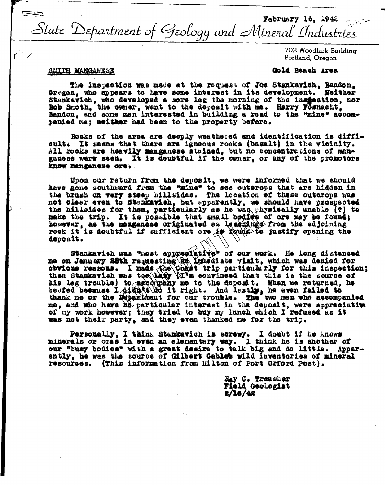**Tags** February 16, 1942  $\sim$ State Department of Geology and Mineral Industries

> 702 Woodlark Building Portland, Oregon

# **SMITH MANGANESE**

## Gold Heach Area

The inspection was made at the request of Joe Stankavich, Bandon. Oregon, who appears to have some interest in its development. Neither Stankavich, who developed a sore leg the morning of the insteation, nor Bob Smoth, the owner, went to the deposit with me. Harry Fosnacht, Bandon, and some man interested in building a road to the "mine" accompanied me: neither had been to the property before.

Rocks of the area are deeply weathered and identification is difficult. It seems that there are igneous rooks (basalt) in the vicinity. All rocks are heavily manganese stained, but no concentrations of manganese were seen. It is doubtful if the owner, or any of the promotors know manganese ore.

Upon our return from the deposit, we were informed that we should have gone southward from the "mine" to see outcrops that are hidden in the brush on very steep hillsides. The location of these outcrops was not clear even to Stankavich, but apparently, we should have prospected the hillsides for them, particularly as he was physically unable (?) to make the trip. It is possible that small bodies of ore may be found; however, as the manganese originated as leashings from the adjoining rock it is doubtful if sufficient ore is keund to justify opening the deposit.

Stankavich was "most appresiative" of our work. He long distanced me on January 28th requesting and included that, which was denied for<br>obvious reasons. I made the Coalt trip particularly for this inspection;<br>then Stankavich was too (hay tive convinced that this is the source of<br>his leg me, and who have ho particular interest in the deposit, were appreciative of my work however; they tried to buy my lunch which I refused as it was not their party, and they even thanked me for the trip.

Personally, I think Stankavich is serewy. I doubt if he knows minerals or ores in even an elementary way. I think he is another of our "busy bodies" with a great desire to talk big and do little. Apparently, he was the source of Gilbert Gables wild inventories of mineral resources. (This information from Hilton of Port Orford Pest).

> Ray C. Treasher Field Geologist  $2/16/42$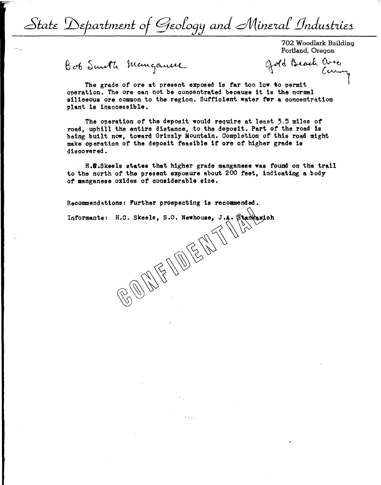State Department of Geology and Mineral Industries

702 Woodlark Building Portland, Oregon

Bob Smeth Mangauere Gold Beach area

Je Moddiark Bullaing<br>Portland, Oregon<br>Journal Good Curing

The grade of ore at present exposed is far too low to permit operation. The ore can not be concentrated because it is the normal siliceous ore common to the region. Sufficient water for a concentration plant is inaccessible.

The operation of the deposit would require at least  $5.5$  miles of road, uphill the entire distance, to the deposit. Part of the road is being built now, toward Grizzly Mountain. Completion of this road might make operation of the deposit feasible it ore of higher grade is discovered.

H.E.Skeels states that higher grade manganese was found on the trail to the north of the present exposure about 200 feet, indicating a body of manganese oxides of considerable size.

 $\mathbb{Z}/\mathbb{Z}$ 

Recommendations: Further prospecting is recommended.

Recommendations: Further prospecting is recommended.<br>Informants: H.C. Skeels, S.O. Newhouse, J.A. Stankawich

~\~~ ~~~.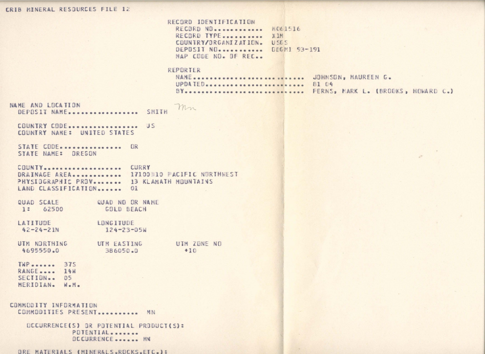# CRIB MINERAL RESOURCES FILE 12

RECORD IDENTIFICATION RECORD NO............ W061516 RECORD TYPE........... XIM COUNTRY/ORGANIZATION. USES DEPOSIT NO. ........... DDGMI 93-191 MAP CODE NO. OF REC..

#### REPORTER

| NAME JOHNSON, MAUREEN G. |                                       |
|--------------------------|---------------------------------------|
| UPDATED  81 04           |                                       |
|                          | BY FERNS, MARK L. (BROOKS, HOWARD C.) |

NAME AND LOCATION mn DEPOSIT NAME.................. SMITH

COUNTRY CODE................... US COUNTRY NAME: UNITED STATES

STATE CODE............... OR STATE NAME: OREGON

COUNTY.................... CURRY DRAINAGE AREA............. 17100310 PACIFIC NURTHNEST PHYSIOGRAPHIC PROV....... 13 KLAMATH MOUNTAINS LAND CLASSIFICATION....... 01

QUAD SCALE QUAD NO OR NAME 1: 62500 GOLD BEACH

LATITUDE LONGITUDE  $42 - 24 - 21N$  $124 - 23 - 05W$ 

UTM NORTHING UTM EASTING UTM ZONE NO 4695550.0 386050.0  $+10$ 

 $TWP$  ...... 375 RANGE.... 14W SECTION... 05 MERIDIAN. W.M.

COMMODITY INFORMATION COMMODITIES PRESENT........... MN

> OCCURRENCE(S) OR POTENTIAL PRODUCT(S): POTENTIAL........ **DCCURRENCE....... MN**

ORE MATERIALS (MINERALS.ROCKS.ETC.):